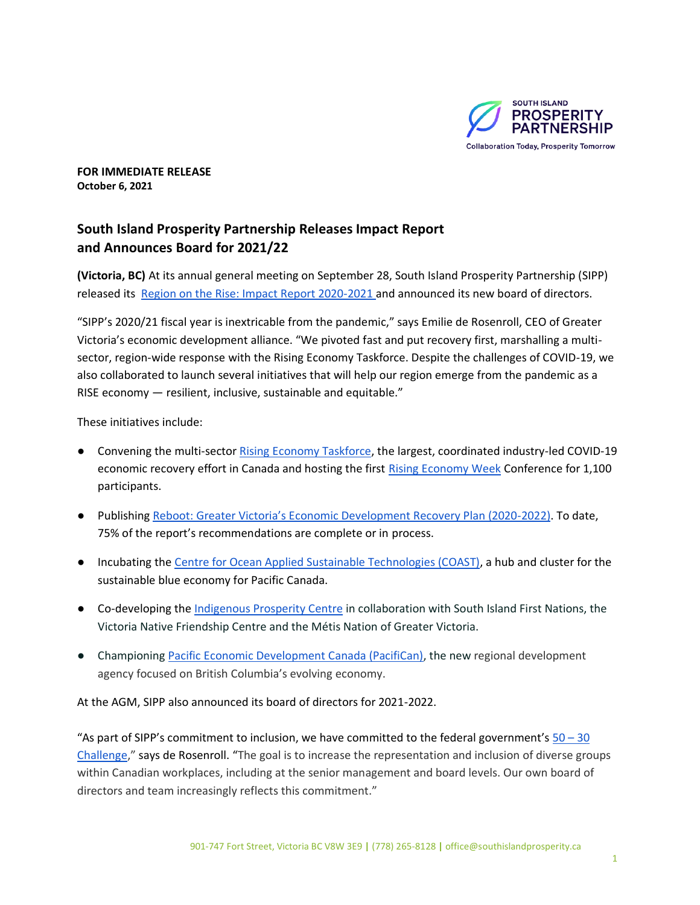

**FOR IMMEDIATE RELEASE October 6, 2021**

# **South Island Prosperity Partnership Releases Impact Report and Announces Board for 2021/22**

**(Victoria, BC)** At its annual general meeting on September 28, South Island Prosperity Partnership (SIPP) released its [Region on the Rise: Impact Report 2020-2021 a](https://southislandprosperity.ca/wp-content/uploads/2021/09/Impact-Report-2021.pdf)nd announced its new board of directors.

"SIPP's 2020/21 fiscal year is inextricable from the pandemic," says Emilie de Rosenroll, CEO of Greater Victoria's economic development alliance. "We pivoted fast and put recovery first, marshalling a multisector, region-wide response with the Rising Economy Taskforce. Despite the challenges of COVID-19, we also collaborated to launch several initiatives that will help our region emerge from the pandemic as a RISE economy — resilient, inclusive, sustainable and equitable."

These initiatives include:

- Convening the multi-secto[r Rising Economy Taskforce,](https://southislandprosperity.ca/rising-economy-taskforce/) the largest, coordinated industry-led COVID-19 economic recovery effort in Canada and hosting the first [Rising Economy Week](https://ourrisingeconomy.com/) Conference for 1,100 participants.
- Publishing [Reboot: Greater Victoria's Economic Development Recovery Plan \(2020](https://southislandprosperity.ca/wp-content/uploads/2020/11/Reboot_Greater-Victorias-Economic-Recovery-Plan-2020-2022_SIPP-FINAL.pdf)-2022). To date, 75% of the report's recommendations are complete or in process.
- Incubating th[e Centre for Ocean Applied Sustainable Technologies \(COAST\),](https://canadacoast.ca/) a hub and cluster for the sustainable blue economy for Pacific Canada.
- Co-developing th[e Indigenous Prosperity Centre](https://indigenousprosperitycentre.ca/) in collaboration with South Island First Nations, the Victoria Native Friendship Centre and the Métis Nation of Greater Victoria.
- Championing [Pacific Economic Development Canada \(PacifiCan\),](https://www.canada.ca/en/pacific-economic-development.html) the new regional development agency focused on British Columbia's evolving economy.

At the AGM, SIPP also announced its board of directors for 2021-2022.

"As part of SIPP's commitment to inclusion, we have committed to the federal government's  $50 - 30$  $50 - 30$ [Challenge](https://www.ic.gc.ca/eic/site/icgc.nsf/eng/07706.html)," says de Rosenroll. "The goal is to increase the representation and inclusion of diverse groups within Canadian workplaces, including at the senior management and board levels. Our own board of directors and team increasingly reflects this commitment."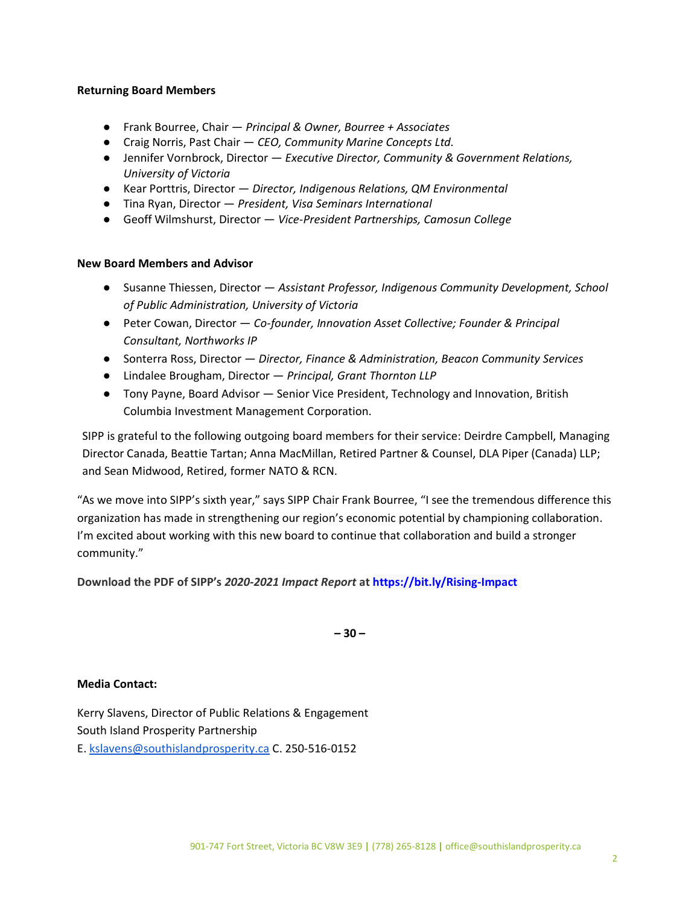#### **Returning Board Members**

- Frank Bourree, Chair *Principal & Owner, Bourree + Associates*
- Craig Norris, Past Chair *CEO, Community Marine Concepts Ltd.*
- Jennifer Vornbrock, Director *Executive Director, Community & Government Relations, University of Victoria*
- Kear Porttris, Director *Director, Indigenous Relations, QM Environmental*
- Tina Ryan, Director *President, Visa Seminars International*
- Geoff Wilmshurst, Director *Vice-President Partnerships, Camosun College*

### **New Board Members and Advisor**

- Susanne Thiessen, Director *Assistant Professor, Indigenous Community Development, School of Public Administration, University of Victoria*
- Peter Cowan, Director *Co-founder, Innovation Asset Collective; Founder & Principal Consultant, Northworks IP*
- Sonterra Ross, Director *Director, Finance & Administration, Beacon Community Services*
- Lindalee Brougham, Director *Principal, Grant Thornton LLP*
- Tony Payne, Board Advisor Senior Vice President, Technology and Innovation, British Columbia Investment Management Corporation.

SIPP is grateful to the following outgoing board members for their service: Deirdre Campbell, Managing Director Canada, Beattie Tartan; Anna MacMillan, Retired Partner & Counsel, DLA Piper (Canada) LLP; and Sean Midwood, Retired, former NATO & RCN.

"As we move into SIPP's sixth year," says SIPP Chair Frank Bourree, "I see the tremendous difference this organization has made in strengthening our region's economic potential by championing collaboration. I'm excited about working with this new board to continue that collaboration and build a stronger community."

**Download the PDF of SIPP's** *2020-2021 Impact Report* **at<https://bit.ly/Rising-Impact>**

**– 30 –**

### **Media Contact:**

Kerry Slavens, Director of Public Relations & Engagement South Island Prosperity Partnership E. [kslavens@southislandprosperity.ca](mailto:kslavens@southislandprosperity.ca) C. 250-516-0152